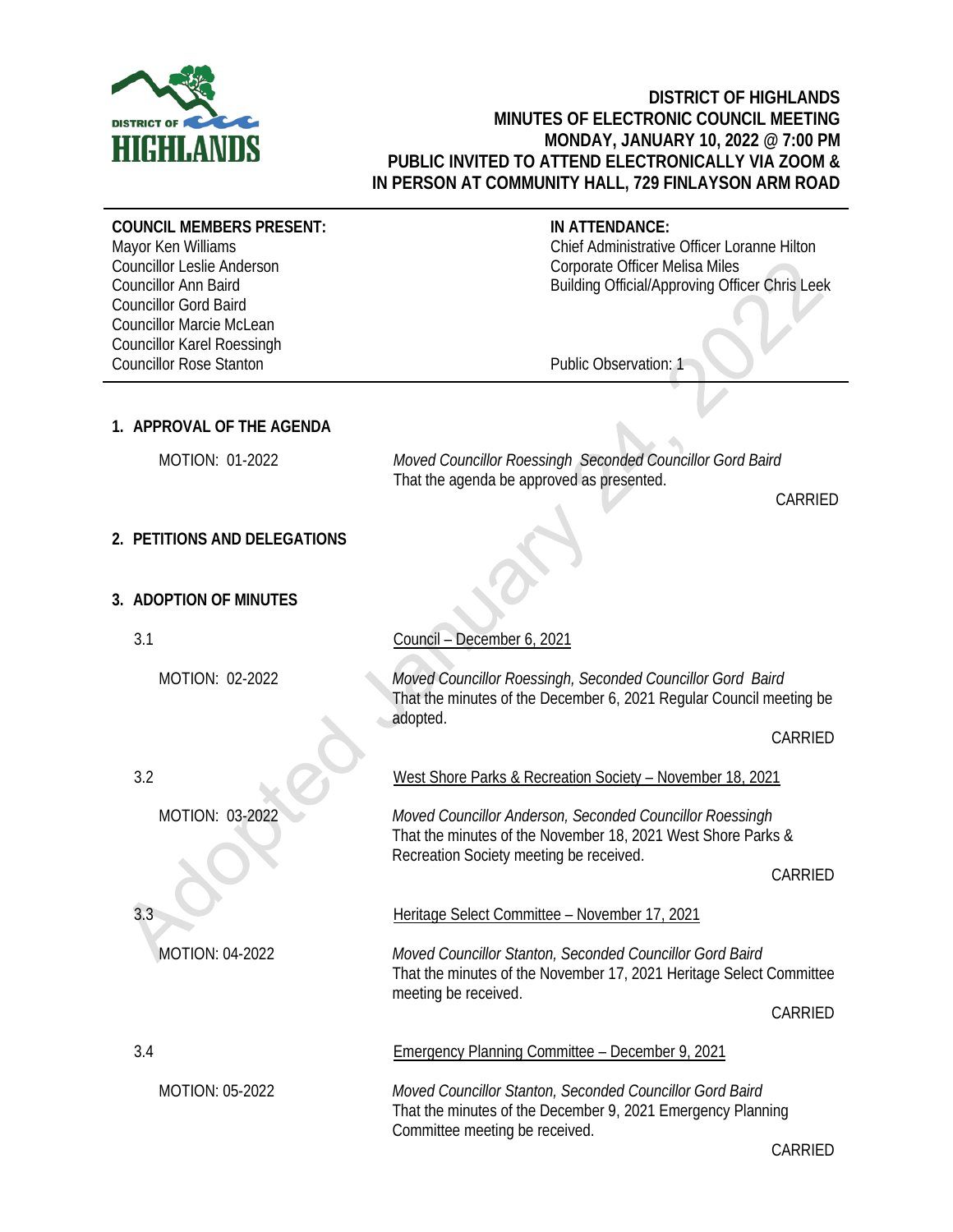

## **DISTRICT OF HIGHLANDS MINUTES OF ELECTRONIC COUNCIL MEETING MONDAY, JANUARY 10, 2022 @ 7:00 PM PUBLIC INVITED TO ATTEND ELECTRONICALLY VIA ZOOM & IN PERSON AT COMMUNITY HALL, 729 FINLAYSON ARM ROAD**

**COUNCIL MEMBERS PRESENT:**

Mayor Ken Williams Councillor Leslie Anderson Councillor Ann Baird Councillor Gord Baird Councillor Marcie McLean Councillor Karel Roessingh Councillor Rose Stanton

## **IN ATTENDANCE:**

Chief Administrative Officer Loranne Hilton Corporate Officer Melisa Miles Building Official/Approving Officer Chris Leek

Public Observation: 1

# **1. APPROVAL OF THE AGENDA**

 MOTION: 01-2022 *Moved Councillor Roessingh Seconded Councillor Gord Baird* That the agenda be approved as presented.

CARRIED

# **2. PETITIONS AND DELEGATIONS**

# **3. ADOPTION OF MINUTES**

3.1

3.2

3.3

MOTION: 02-2022

MOTION: 03-2022

MOTION: 04-2022

Council – December 6, 2021

*Moved Councillor Roessingh, Seconded Councillor Gord Baird* That the minutes of the December 6, 2021 Regular Council meeting be adopted.

CARRIED

West Shore Parks & Recreation Society – November 18, 2021

*Moved Councillor Anderson, Seconded Councillor Roessingh* That the minutes of the November 18, 2021 West Shore Parks & Recreation Society meeting be received.

CARRIED

Heritage Select Committee – November 17, 2021

Emergency Planning Committee – December 9, 2021

Committee meeting be received.

*Moved Councillor Stanton, Seconded Councillor Gord Baird* That the minutes of the December 9, 2021 Emergency Planning

*Moved Councillor Stanton, Seconded Councillor Gord Baird* That the minutes of the November 17, 2021 Heritage Select Committee meeting be received.

CARRIED

3.4

MOTION: 05-2022

CARRIED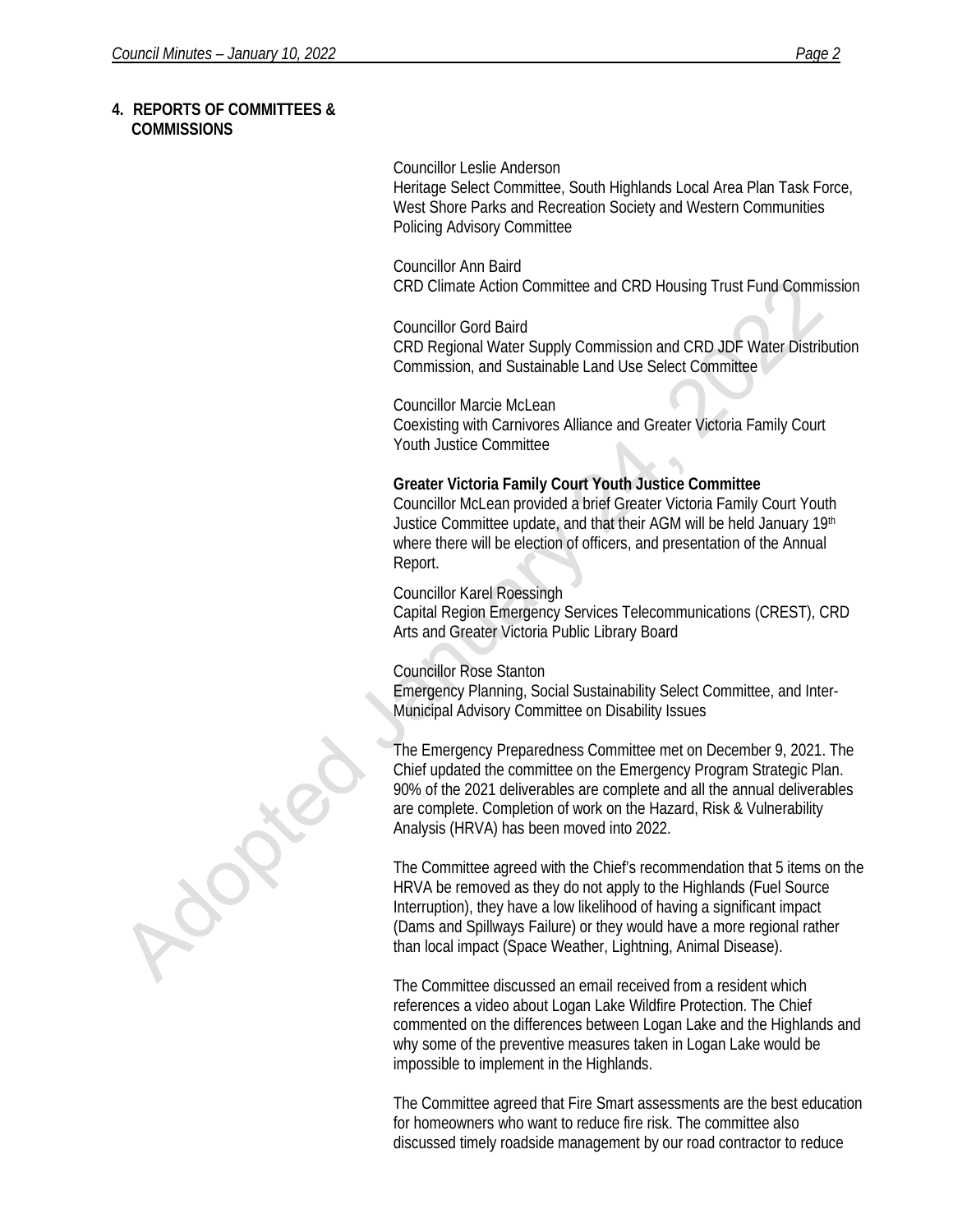### **4. REPORTS OF COMMITTEES & COMMISSIONS**

#### Councillor Leslie Anderson

Heritage Select Committee, South Highlands Local Area Plan Task Force, West Shore Parks and Recreation Society and Western Communities Policing Advisory Committee

Councillor Ann Baird CRD Climate Action Committee and CRD Housing Trust Fund Commission

Councillor Gord Baird CRD Regional Water Supply Commission and CRD JDF Water Distribution Commission, and Sustainable Land Use Select Committee

Councillor Marcie McLean Coexisting with Carnivores Alliance and Greater Victoria Family Court Youth Justice Committee

### **Greater Victoria Family Court Youth Justice Committee**

Councillor McLean provided a brief Greater Victoria Family Court Youth Justice Committee update, and that their AGM will be held January 19<sup>th</sup> where there will be election of officers, and presentation of the Annual Report.

### Councillor Karel Roessingh

Capital Region Emergency Services Telecommunications (CREST), CRD Arts and Greater Victoria Public Library Board

## Councillor Rose Stanton

Emergency Planning, Social Sustainability Select Committee, and Inter-Municipal Advisory Committee on Disability Issues

The Emergency Preparedness Committee met on December 9, 2021. The Chief updated the committee on the Emergency Program Strategic Plan. 90% of the 2021 deliverables are complete and all the annual deliverables are complete. Completion of work on the Hazard, Risk & Vulnerability Analysis (HRVA) has been moved into 2022.

The Committee agreed with the Chief's recommendation that 5 items on the HRVA be removed as they do not apply to the Highlands (Fuel Source Interruption), they have a low likelihood of having a significant impact (Dams and Spillways Failure) or they would have a more regional rather than local impact (Space Weather, Lightning, Animal Disease).

The Committee discussed an email received from a resident which references a video about Logan Lake Wildfire Protection. The Chief commented on the differences between Logan Lake and the Highlands and why some of the preventive measures taken in Logan Lake would be impossible to implement in the Highlands.

The Committee agreed that Fire Smart assessments are the best education for homeowners who want to reduce fire risk. The committee also discussed timely roadside management by our road contractor to reduce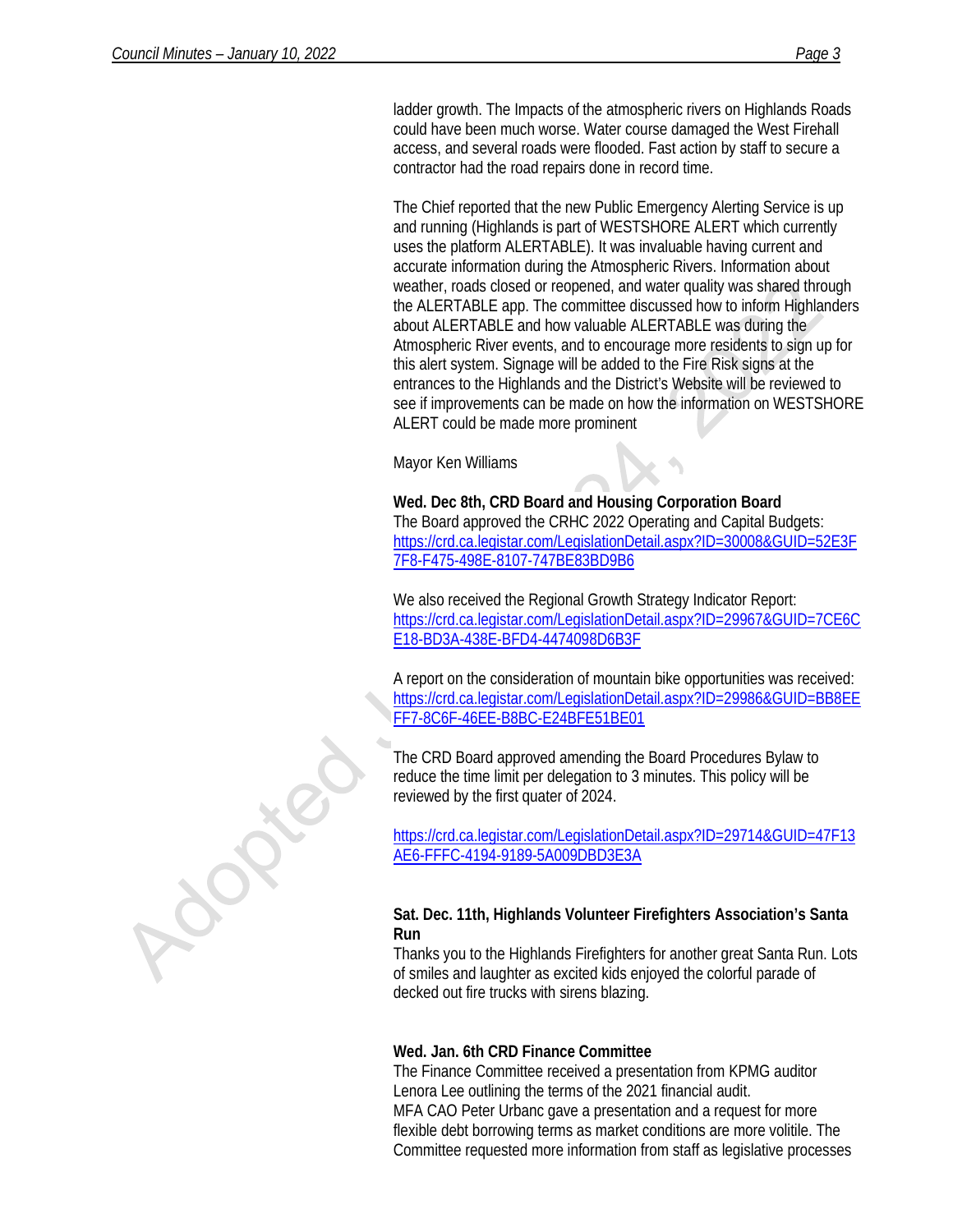ladder growth. The Impacts of the atmospheric rivers on Highlands Roads could have been much worse. Water course damaged the West Firehall access, and several roads were flooded. Fast action by staff to secure a contractor had the road repairs done in record time.

The Chief reported that the new Public Emergency Alerting Service is up and running (Highlands is part of WESTSHORE ALERT which currently uses the platform ALERTABLE). It was invaluable having current and accurate information during the Atmospheric Rivers. Information about weather, roads closed or reopened, and water quality was shared through the ALERTABLE app. The committee discussed how to inform Highlanders about ALERTABLE and how valuable ALERTABLE was during the Atmospheric River events, and to encourage more residents to sign up for this alert system. Signage will be added to the Fire Risk signs at the entrances to the Highlands and the District's Website will be reviewed to see if improvements can be made on how the information on WESTSHORE ALERT could be made more prominent

Mayor Ken Williams

**Wed. Dec 8th, CRD Board and Housing Corporation Board** The Board approved the CRHC 2022 Operating and Capital Budgets: [https://crd.ca.legistar.com/LegislationDetail.aspx?ID=30008&GUID=52E3F](https://crd.ca.legistar.com/LegislationDetail.aspx?ID=30008&GUID=52E3F7F8-F475-498E-8107-747BE83BD9B6) [7F8-F475-498E-8107-747BE83BD9B6](https://crd.ca.legistar.com/LegislationDetail.aspx?ID=30008&GUID=52E3F7F8-F475-498E-8107-747BE83BD9B6)

We also received the Regional Growth Strategy Indicator Report: [https://crd.ca.legistar.com/LegislationDetail.aspx?ID=29967&GUID=7CE6C](https://crd.ca.legistar.com/LegislationDetail.aspx?ID=29967&GUID=7CE6CE18-BD3A-438E-BFD4-4474098D6B3F) [E18-BD3A-438E-BFD4-4474098D6B3F](https://crd.ca.legistar.com/LegislationDetail.aspx?ID=29967&GUID=7CE6CE18-BD3A-438E-BFD4-4474098D6B3F)

A report on the consideration of mountain bike opportunities was received: [https://crd.ca.legistar.com/LegislationDetail.aspx?ID=29986&GUID=BB8EE](https://crd.ca.legistar.com/LegislationDetail.aspx?ID=29986&GUID=BB8EEFF7-8C6F-46EE-B8BC-E24BFE51BE01) [FF7-8C6F-46EE-B8BC-E24BFE51BE01](https://crd.ca.legistar.com/LegislationDetail.aspx?ID=29986&GUID=BB8EEFF7-8C6F-46EE-B8BC-E24BFE51BE01)

The CRD Board approved amending the Board Procedures Bylaw to reduce the time limit per delegation to 3 minutes. This policy will be reviewed by the first quater of 2024.

[https://crd.ca.legistar.com/LegislationDetail.aspx?ID=29714&GUID=47F13](https://crd.ca.legistar.com/LegislationDetail.aspx?ID=29714&GUID=47F13AE6-FFFC-4194-9189-5A009DBD3E3A) [AE6-FFFC-4194-9189-5A009DBD3E3A](https://crd.ca.legistar.com/LegislationDetail.aspx?ID=29714&GUID=47F13AE6-FFFC-4194-9189-5A009DBD3E3A)

## **Sat. Dec. 11th, Highlands Volunteer Firefighters Association's Santa Run**

Thanks you to the Highlands Firefighters for another great Santa Run. Lots of smiles and laughter as excited kids enjoyed the colorful parade of decked out fire trucks with sirens blazing.

# **Wed. Jan. 6th CRD Finance Committee**

The Finance Committee received a presentation from KPMG auditor Lenora Lee outlining the terms of the 2021 financial audit. MFA CAO Peter Urbanc gave a presentation and a request for more flexible debt borrowing terms as market conditions are more volitile. The Committee requested more information from staff as legislative processes

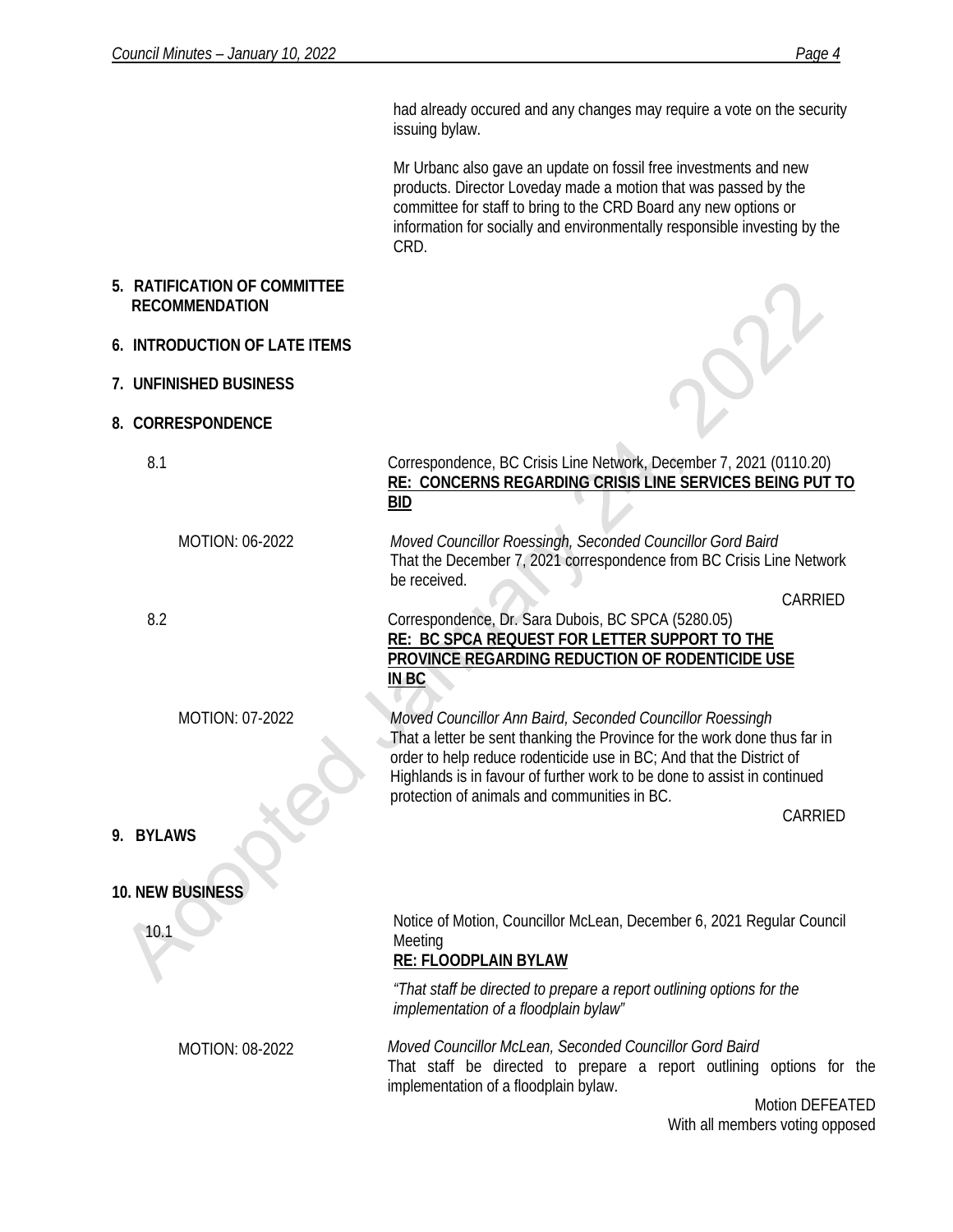had already occured and any changes may require a vote on the security issuing bylaw. Mr Urbanc also gave an update on fossil free investments and new products. Director Loveday made a motion that was passed by the committee for staff to bring to the CRD Board any new options or information for socially and environmentally responsible investing by the CRD. **5. RATIFICATION OF COMMITTEE RECOMMENDATION 6. INTRODUCTION OF LATE ITEMS 7. UNFINISHED BUSINESS 8. CORRESPONDENCE** 8.1 MOTION: 06-2022 8.2 MOTION: 07-2022 Correspondence, BC Crisis Line Network, December 7, 2021 (0110.20) **RE: CONCERNS REGARDING CRISIS LINE SERVICES BEING PUT TO BID** *Moved Councillor Roessingh, Seconded Councillor Gord Baird* That the December 7, 2021 correspondence from BC Crisis Line Network be received. CARRIED Correspondence, Dr. Sara Dubois, BC SPCA (5280.05) **RE: BC SPCA REQUEST FOR LETTER SUPPORT TO THE PROVINCE REGARDING REDUCTION OF RODENTICIDE USE IN BC** *Moved Councillor Ann Baird, Seconded Councillor Roessingh* That a letter be sent thanking the Province for the work done thus far in order to help reduce rodenticide use in BC; And that the District of Highlands is in favour of further work to be done to assist in continued protection of animals and communities in BC. CARRIED **9. BYLAWS 10. NEW BUSINESS** 10.1 MOTION: 08-2022 Notice of Motion, Councillor McLean, December 6, 2021 Regular Council Meeting **RE: FLOODPLAIN BYLAW** *"That staff be directed to prepare a report outlining options for the implementation of a floodplain bylaw" Moved Councillor McLean, Seconded Councillor Gord Baird* That staff be directed to prepare a report outlining options for the implementation of a floodplain bylaw. Motion DEFEATED With all members voting opposed